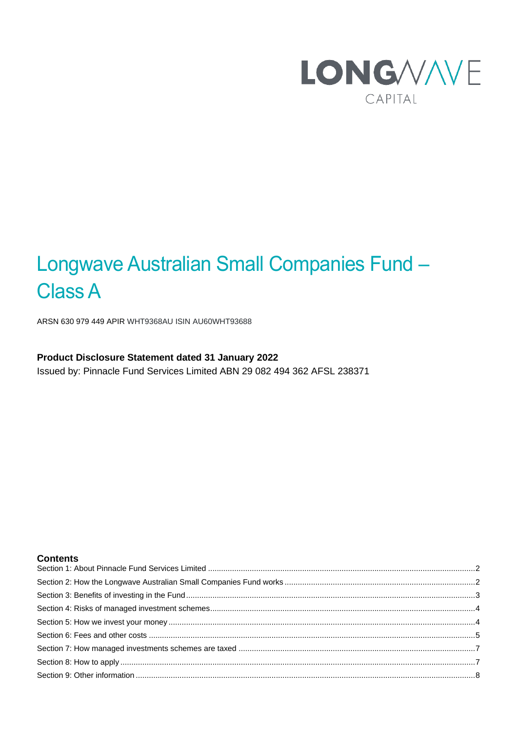

# Longwave Australian Small Companies Fund – Class A

ARSN 630 979 449 APIR WHT9368AU ISIN AU60WHT93688

# **Product Disclosure Statement dated 31 January 2022**

Issued by: Pinnacle Fund Services Limited ABN 29 082 494 362 AFSL 238371

## **Contents**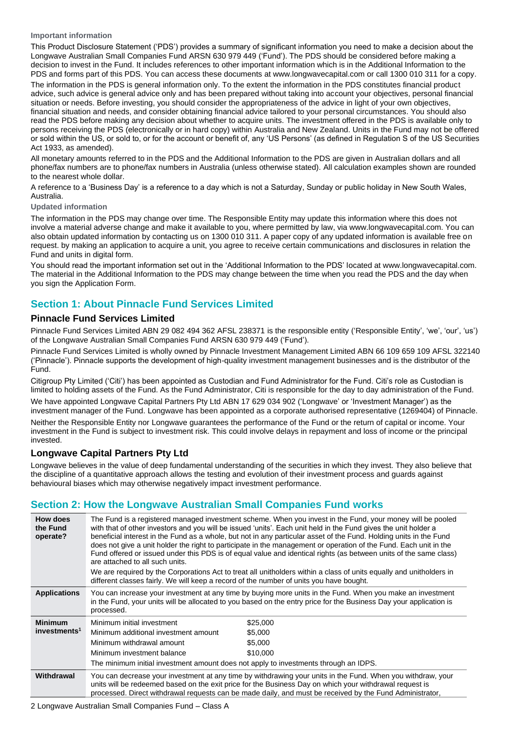#### **Important information**

This Product Disclosure Statement ('PDS') provides a summary of significant information you need to make a decision about the Longwave Australian Small Companies Fund ARSN 630 979 449 ('Fund'). The PDS should be considered before making a decision to invest in the Fund. It includes references to other important information which is in the Additional Information to the PDS and forms part of this PDS. You can access these documents at www.longwavecapital.com or call 1300 010 311 for a copy. The information in the PDS is general information only. To the extent the information in the PDS constitutes financial product advice, such advice is general advice only and has been prepared without taking into account your objectives, personal financial situation or needs. Before investing, you should consider the appropriateness of the advice in light of your own objectives, financial situation and needs, and consider obtaining financial advice tailored to your personal circumstances. You should also read the PDS before making any decision about whether to acquire units. The investment offered in the PDS is available only to persons receiving the PDS (electronically or in hard copy) within Australia and New Zealand. Units in the Fund may not be offered or sold within the US, or sold to, or for the account or benefit of, any 'US Persons' (as defined in Regulation S of the US Securities Act 1933, as amended).

All monetary amounts referred to in the PDS and the Additional Information to the PDS are given in Australian dollars and all phone/fax numbers are to phone/fax numbers in Australia (unless otherwise stated). All calculation examples shown are rounded to the nearest whole dollar.

A reference to a 'Business Day' is a reference to a day which is not a Saturday, Sunday or public holiday in New South Wales, Australia.

#### **Updated information**

The information in the PDS may change over time. The Responsible Entity may update this information where this does not involve a material adverse change and make it available to you, where permitted by law, via www.longwavecapital.com. You can also obtain updated information by contacting us on 1300 010 311. A paper copy of any updated information is available free on request. by making an application to acquire a unit, you agree to receive certain communications and disclosures in relation the Fund and units in digital form.

You should read the important information set out in the 'Additional Information to the PDS' located at www.longwavecapital.com. The material in the Additional Information to the PDS may change between the time when you read the PDS and the day when you sign the Application Form.

# <span id="page-1-0"></span>**Section 1: About Pinnacle Fund Services Limited**

## **Pinnacle Fund Services Limited**

Pinnacle Fund Services Limited ABN 29 082 494 362 AFSL 238371 is the responsible entity ('Responsible Entity', 'we', 'our', 'us') of the Longwave Australian Small Companies Fund ARSN 630 979 449 ('Fund').

Pinnacle Fund Services Limited is wholly owned by Pinnacle Investment Management Limited ABN 66 109 659 109 AFSL 322140 ('Pinnacle'). Pinnacle supports the development of high-quality investment management businesses and is the distributor of the Fund.

Citigroup Pty Limited ('Citi') has been appointed as Custodian and Fund Administrator for the Fund. Citi's role as Custodian is limited to holding assets of the Fund. As the Fund Administrator, Citi is responsible for the day to day administration of the Fund. We have appointed Longwave Capital Partners Pty Ltd ABN 17 629 034 902 ('Longwave' or 'Investment Manager') as the investment manager of the Fund. Longwave has been appointed as a corporate authorised representative (1269404) of Pinnacle.

Neither the Responsible Entity nor Longwave guarantees the performance of the Fund or the return of capital or income. Your investment in the Fund is subject to investment risk. This could involve delays in repayment and loss of income or the principal invested.

## **Longwave Capital Partners Pty Ltd**

Longwave believes in the value of deep fundamental understanding of the securities in which they invest. They also believe that the discipline of a quantitative approach allows the testing and evolution of their investment process and guards against behavioural biases which may otherwise negatively impact investment performance.

## <span id="page-1-1"></span>**Section 2: How the Longwave Australian Small Companies Fund works**

| <b>How does</b><br>the Fund<br>operate? | The Fund is a registered managed investment scheme. When you invest in the Fund, your money will be pooled<br>with that of other investors and you will be issued 'units'. Each unit held in the Fund gives the unit holder a<br>beneficial interest in the Fund as a whole, but not in any particular asset of the Fund. Holding units in the Fund<br>does not give a unit holder the right to participate in the management or operation of the Fund. Each unit in the<br>Fund offered or issued under this PDS is of equal value and identical rights (as between units of the same class)<br>are attached to all such units. |          |  |
|-----------------------------------------|----------------------------------------------------------------------------------------------------------------------------------------------------------------------------------------------------------------------------------------------------------------------------------------------------------------------------------------------------------------------------------------------------------------------------------------------------------------------------------------------------------------------------------------------------------------------------------------------------------------------------------|----------|--|
|                                         | We are required by the Corporations Act to treat all unitholders within a class of units equally and unitholders in<br>different classes fairly. We will keep a record of the number of units you have bought.                                                                                                                                                                                                                                                                                                                                                                                                                   |          |  |
| <b>Applications</b>                     | You can increase your investment at any time by buying more units in the Fund. When you make an investment<br>in the Fund, your units will be allocated to you based on the entry price for the Business Day your application is<br>processed.                                                                                                                                                                                                                                                                                                                                                                                   |          |  |
| <b>Minimum</b>                          | Minimum initial investment                                                                                                                                                                                                                                                                                                                                                                                                                                                                                                                                                                                                       | \$25,000 |  |
| investments <sup>1</sup>                | Minimum additional investment amount                                                                                                                                                                                                                                                                                                                                                                                                                                                                                                                                                                                             | \$5,000  |  |
|                                         | Minimum withdrawal amount                                                                                                                                                                                                                                                                                                                                                                                                                                                                                                                                                                                                        | \$5,000  |  |
|                                         | Minimum investment balance                                                                                                                                                                                                                                                                                                                                                                                                                                                                                                                                                                                                       | \$10,000 |  |
|                                         | The minimum initial investment amount does not apply to investments through an IDPS.                                                                                                                                                                                                                                                                                                                                                                                                                                                                                                                                             |          |  |
| Withdrawal                              | You can decrease your investment at any time by withdrawing your units in the Fund. When you withdraw, your<br>units will be redeemed based on the exit price for the Business Day on which your withdrawal request is<br>processed. Direct withdrawal requests can be made daily, and must be received by the Fund Administrator,                                                                                                                                                                                                                                                                                               |          |  |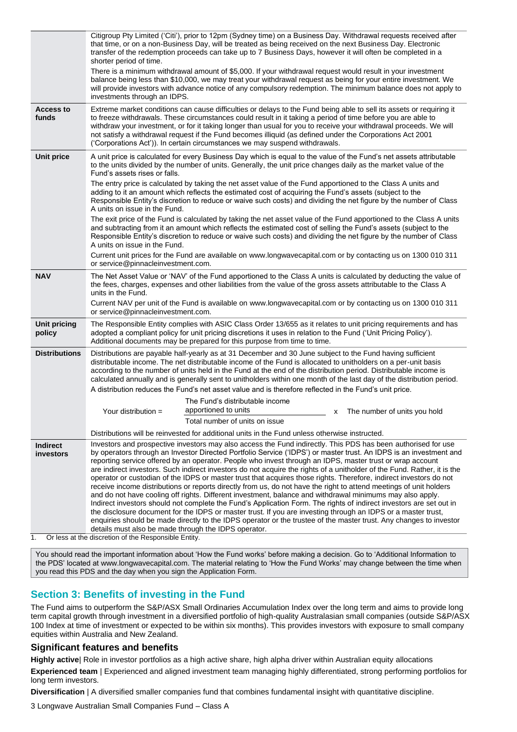|                               | Citigroup Pty Limited ('Citi'), prior to 12pm (Sydney time) on a Business Day. Withdrawal requests received after<br>that time, or on a non-Business Day, will be treated as being received on the next Business Day. Electronic<br>transfer of the redemption proceeds can take up to 7 Business Days, however it will often be completed in a<br>shorter period of time.                                                                                                                                                                                                                                                                                                                                                                                                                                                                                                                                                                                                                                                                                                                                                                                                                                                                                  |
|-------------------------------|-------------------------------------------------------------------------------------------------------------------------------------------------------------------------------------------------------------------------------------------------------------------------------------------------------------------------------------------------------------------------------------------------------------------------------------------------------------------------------------------------------------------------------------------------------------------------------------------------------------------------------------------------------------------------------------------------------------------------------------------------------------------------------------------------------------------------------------------------------------------------------------------------------------------------------------------------------------------------------------------------------------------------------------------------------------------------------------------------------------------------------------------------------------------------------------------------------------------------------------------------------------|
|                               | There is a minimum withdrawal amount of \$5,000. If your withdrawal request would result in your investment<br>balance being less than \$10,000, we may treat your withdrawal request as being for your entire investment. We<br>will provide investors with advance notice of any compulsory redemption. The minimum balance does not apply to<br>investments through an IDPS.                                                                                                                                                                                                                                                                                                                                                                                                                                                                                                                                                                                                                                                                                                                                                                                                                                                                             |
| <b>Access to</b><br>funds     | Extreme market conditions can cause difficulties or delays to the Fund being able to sell its assets or requiring it<br>to freeze withdrawals. These circumstances could result in it taking a period of time before you are able to<br>withdraw your investment, or for it taking longer than usual for you to receive your withdrawal proceeds. We will<br>not satisfy a withdrawal request if the Fund becomes illiquid (as defined under the Corporations Act 2001<br>('Corporations Act')). In certain circumstances we may suspend withdrawals.                                                                                                                                                                                                                                                                                                                                                                                                                                                                                                                                                                                                                                                                                                       |
| <b>Unit price</b>             | A unit price is calculated for every Business Day which is equal to the value of the Fund's net assets attributable<br>to the units divided by the number of units. Generally, the unit price changes daily as the market value of the<br>Fund's assets rises or falls.                                                                                                                                                                                                                                                                                                                                                                                                                                                                                                                                                                                                                                                                                                                                                                                                                                                                                                                                                                                     |
|                               | The entry price is calculated by taking the net asset value of the Fund apportioned to the Class A units and<br>adding to it an amount which reflects the estimated cost of acquiring the Fund's assets (subject to the<br>Responsible Entity's discretion to reduce or waive such costs) and dividing the net figure by the number of Class<br>A units on issue in the Fund.                                                                                                                                                                                                                                                                                                                                                                                                                                                                                                                                                                                                                                                                                                                                                                                                                                                                               |
|                               | The exit price of the Fund is calculated by taking the net asset value of the Fund apportioned to the Class A units<br>and subtracting from it an amount which reflects the estimated cost of selling the Fund's assets (subject to the<br>Responsible Entity's discretion to reduce or waive such costs) and dividing the net figure by the number of Class<br>A units on issue in the Fund.                                                                                                                                                                                                                                                                                                                                                                                                                                                                                                                                                                                                                                                                                                                                                                                                                                                               |
|                               | Current unit prices for the Fund are available on www.longwavecapital.com or by contacting us on 1300 010 311<br>or service@pinnacleinvestment.com.                                                                                                                                                                                                                                                                                                                                                                                                                                                                                                                                                                                                                                                                                                                                                                                                                                                                                                                                                                                                                                                                                                         |
| <b>NAV</b>                    | The Net Asset Value or 'NAV' of the Fund apportioned to the Class A units is calculated by deducting the value of<br>the fees, charges, expenses and other liabilities from the value of the gross assets attributable to the Class A<br>units in the Fund.                                                                                                                                                                                                                                                                                                                                                                                                                                                                                                                                                                                                                                                                                                                                                                                                                                                                                                                                                                                                 |
|                               | Current NAV per unit of the Fund is available on www.longwavecapital.com or by contacting us on 1300 010 311<br>or service@pinnacleinvestment.com.                                                                                                                                                                                                                                                                                                                                                                                                                                                                                                                                                                                                                                                                                                                                                                                                                                                                                                                                                                                                                                                                                                          |
| <b>Unit pricing</b><br>policy | The Responsible Entity complies with ASIC Class Order 13/655 as it relates to unit pricing requirements and has<br>adopted a compliant policy for unit pricing discretions it uses in relation to the Fund ('Unit Pricing Policy').<br>Additional documents may be prepared for this purpose from time to time.                                                                                                                                                                                                                                                                                                                                                                                                                                                                                                                                                                                                                                                                                                                                                                                                                                                                                                                                             |
| <b>Distributions</b>          | Distributions are payable half-yearly as at 31 December and 30 June subject to the Fund having sufficient<br>distributable income. The net distributable income of the Fund is allocated to unitholders on a per-unit basis<br>according to the number of units held in the Fund at the end of the distribution period. Distributable income is<br>calculated annually and is generally sent to unitholders within one month of the last day of the distribution period.<br>A distribution reduces the Fund's net asset value and is therefore reflected in the Fund's unit price.                                                                                                                                                                                                                                                                                                                                                                                                                                                                                                                                                                                                                                                                          |
|                               | The Fund's distributable income<br>apportioned to units<br>Your distribution $=$<br>The number of units you hold<br>x<br>Total number of units on issue                                                                                                                                                                                                                                                                                                                                                                                                                                                                                                                                                                                                                                                                                                                                                                                                                                                                                                                                                                                                                                                                                                     |
|                               | Distributions will be reinvested for additional units in the Fund unless otherwise instructed.                                                                                                                                                                                                                                                                                                                                                                                                                                                                                                                                                                                                                                                                                                                                                                                                                                                                                                                                                                                                                                                                                                                                                              |
| <b>Indirect</b><br>investors  | Investors and prospective investors may also access the Fund indirectly. This PDS has been authorised for use<br>by operators through an Investor Directed Portfolio Service ('IDPS') or master trust. An IDPS is an investment and<br>reporting service offered by an operator. People who invest through an IDPS, master trust or wrap account<br>are indirect investors. Such indirect investors do not acquire the rights of a unitholder of the Fund. Rather, it is the<br>operator or custodian of the IDPS or master trust that acquires those rights. Therefore, indirect investors do not<br>receive income distributions or reports directly from us, do not have the right to attend meetings of unit holders<br>and do not have cooling off rights. Different investment, balance and withdrawal minimums may also apply.<br>Indirect investors should not complete the Fund's Application Form. The rights of indirect investors are set out in<br>the disclosure document for the IDPS or master trust. If you are investing through an IDPS or a master trust,<br>enquiries should be made directly to the IDPS operator or the trustee of the master trust. Any changes to investor<br>details must also be made through the IDPS operator. |

1. Or less at the discretion of the Responsible Entity.

You should read the important information about 'How the Fund works' before making a decision. Go to 'Additional Information to the PDS' located at www.longwavecapital.com. The material relating to 'How the Fund Works' may change between the time when you read this PDS and the day when you sign the Application Form.

# <span id="page-2-0"></span>**Section 3: Benefits of investing in the Fund**

The Fund aims to outperform the S&P/ASX Small Ordinaries Accumulation Index over the long term and aims to provide long term capital growth through investment in a diversified portfolio of high-quality Australasian small companies (outside S&P/ASX 100 Index at time of investment or expected to be within six months). This provides investors with exposure to small company equities within Australia and New Zealand.

## **Significant features and benefits**

**Highly active**| Role in investor portfolios as a high active share, high alpha driver within Australian equity allocations

**Experienced team** | Experienced and aligned investment team managing highly differentiated, strong performing portfolios for long term investors.

**Diversification** | A diversified smaller companies fund that combines fundamental insight with quantitative discipline.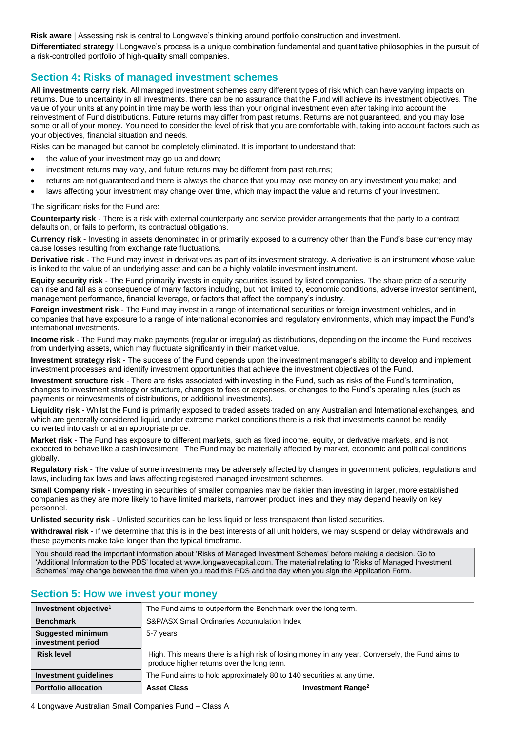**Risk aware** | Assessing risk is central to Longwave's thinking around portfolio construction and investment.

**Differentiated strategy** ǀ Longwave's process is a unique combination fundamental and quantitative philosophies in the pursuit of a risk-controlled portfolio of high-quality small companies.

## <span id="page-3-0"></span>**Section 4: Risks of managed investment schemes**

**All investments carry risk**. All managed investment schemes carry different types of risk which can have varying impacts on returns. Due to uncertainty in all investments, there can be no assurance that the Fund will achieve its investment objectives. The value of your units at any point in time may be worth less than your original investment even after taking into account the reinvestment of Fund distributions. Future returns may differ from past returns. Returns are not guaranteed, and you may lose some or all of your money. You need to consider the level of risk that you are comfortable with, taking into account factors such as your objectives, financial situation and needs.

Risks can be managed but cannot be completely eliminated. It is important to understand that:

- the value of your investment may go up and down;
- investment returns may vary, and future returns may be different from past returns;
- returns are not guaranteed and there is always the chance that you may lose money on any investment you make; and
- laws affecting your investment may change over time, which may impact the value and returns of your investment.

#### The significant risks for the Fund are:

**Counterparty risk** - There is a risk with external counterparty and service provider arrangements that the party to a contract defaults on, or fails to perform, its contractual obligations.

**Currency risk** - Investing in assets denominated in or primarily exposed to a currency other than the Fund's base currency may cause losses resulting from exchange rate fluctuations.

**Derivative risk** - The Fund may invest in derivatives as part of its investment strategy. A derivative is an instrument whose value is linked to the value of an underlying asset and can be a highly volatile investment instrument.

**Equity security risk** - The Fund primarily invests in equity securities issued by listed companies. The share price of a security can rise and fall as a consequence of many factors including, but not limited to, economic conditions, adverse investor sentiment, management performance, financial leverage, or factors that affect the company's industry.

**Foreign investment risk** - The Fund may invest in a range of international securities or foreign investment vehicles, and in companies that have exposure to a range of international economies and regulatory environments, which may impact the Fund's international investments.

**Income risk** - The Fund may make payments (regular or irregular) as distributions, depending on the income the Fund receives from underlying assets, which may fluctuate significantly in their market value.

**Investment strategy risk** - The success of the Fund depends upon the investment manager's ability to develop and implement investment processes and identify investment opportunities that achieve the investment objectives of the Fund.

**Investment structure risk** - There are risks associated with investing in the Fund, such as risks of the Fund's termination, changes to investment strategy or structure, changes to fees or expenses, or changes to the Fund's operating rules (such as payments or reinvestments of distributions, or additional investments).

**Liquidity risk** - Whilst the Fund is primarily exposed to traded assets traded on any Australian and International exchanges, and which are generally considered liquid, under extreme market conditions there is a risk that investments cannot be readily converted into cash or at an appropriate price.

**Market risk** - The Fund has exposure to different markets, such as fixed income, equity, or derivative markets, and is not expected to behave like a cash investment. The Fund may be materially affected by market, economic and political conditions globally.

**Regulatory risk** - The value of some investments may be adversely affected by changes in government policies, regulations and laws, including tax laws and laws affecting registered managed investment schemes.

**Small Company risk** - Investing in securities of smaller companies may be riskier than investing in larger, more established companies as they are more likely to have limited markets, narrower product lines and they may depend heavily on key personnel.

**Unlisted security risk** - Unlisted securities can be less liquid or less transparent than listed securities.

**Withdrawal risk** - If we determine that this is in the best interests of all unit holders, we may suspend or delay withdrawals and these payments make take longer than the typical timeframe.

You should read the important information about 'Risks of Managed Investment Schemes' before making a decision. Go to 'Additional Information to the PDS' located at www.longwavecapital.com. The material relating to 'Risks of Managed Investment Schemes' may change between the time when you read this PDS and the day when you sign the Application Form.

## <span id="page-3-1"></span>**Section 5: How we invest your money**

| Investment objective <sup>1</sup>             | The Fund aims to outperform the Benchmark over the long term.                                                                                 |                               |
|-----------------------------------------------|-----------------------------------------------------------------------------------------------------------------------------------------------|-------------------------------|
| <b>Benchmark</b>                              | S&P/ASX Small Ordinaries Accumulation Index                                                                                                   |                               |
| <b>Suggested minimum</b><br>investment period | 5-7 years                                                                                                                                     |                               |
| <b>Risk level</b>                             | High. This means there is a high risk of losing money in any year. Conversely, the Fund aims to<br>produce higher returns over the long term. |                               |
| <b>Investment guidelines</b>                  | The Fund aims to hold approximately 80 to 140 securities at any time.                                                                         |                               |
| <b>Portfolio allocation</b>                   | <b>Asset Class</b>                                                                                                                            | Investment Range <sup>2</sup> |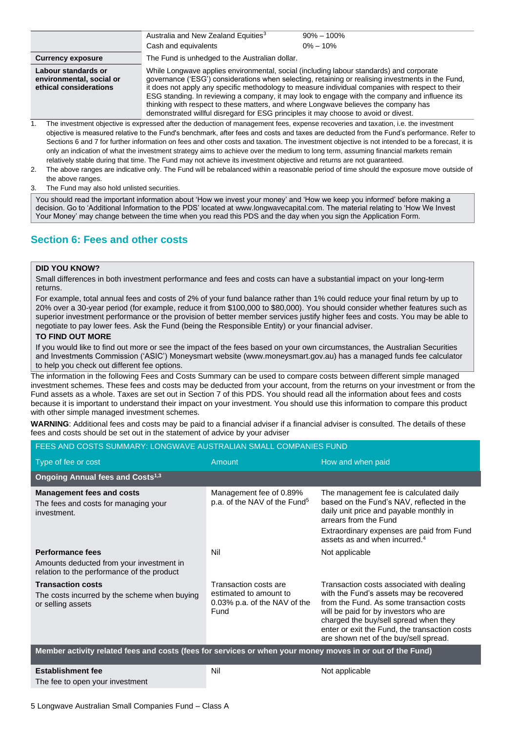|                                                                           | Australia and New Zealand Equities <sup>3</sup><br>Cash and equivalents                                                                                                                                                                                                                                                                                                                                                                                                                                                                                                          | $90\% - 100\%$<br>$0\% - 10\%$ |
|---------------------------------------------------------------------------|----------------------------------------------------------------------------------------------------------------------------------------------------------------------------------------------------------------------------------------------------------------------------------------------------------------------------------------------------------------------------------------------------------------------------------------------------------------------------------------------------------------------------------------------------------------------------------|--------------------------------|
| <b>Currency exposure</b>                                                  | The Fund is unhedged to the Australian dollar.                                                                                                                                                                                                                                                                                                                                                                                                                                                                                                                                   |                                |
| Labour standards or<br>environmental, social or<br>ethical considerations | While Longwave applies environmental, social (including labour standards) and corporate<br>governance ('ESG') considerations when selecting, retaining or realising investments in the Fund,<br>it does not apply any specific methodology to measure individual companies with respect to their<br>ESG standing. In reviewing a company, it may look to engage with the company and influence its<br>thinking with respect to these matters, and where Longwave believes the company has<br>demonstrated willful disregard for ESG principles it may choose to avoid or divest. |                                |

1. The investment objective is expressed after the deduction of management fees, expense recoveries and taxation, i.e. the investment objective is measured relative to the Fund's benchmark, after fees and costs and taxes are deducted from the Fund's performance. Refer to Sections 6 and 7 for further information on fees and other costs and taxation. The investment objective is not intended to be a forecast, it is only an indication of what the investment strategy aims to achieve over the medium to long term, assuming financial markets remain relatively stable during that time. The Fund may not achieve its investment objective and returns are not guaranteed.

- 2. The above ranges are indicative only. The Fund will be rebalanced within a reasonable period of time should the exposure move outside of the above ranges.
- The Fund may also hold unlisted securities.

You should read the important information about 'How we invest your money' and 'How we keep you informed' before making a decision. Go to 'Additional Information to the PDS' located at www.longwavecapital.com. The material relating to 'How We Invest Your Money' may change between the time when you read this PDS and the day when you sign the Application Form.

# <span id="page-4-0"></span>**Section 6: Fees and other costs**

#### **DID YOU KNOW?**

Small differences in both investment performance and fees and costs can have a substantial impact on your long-term returns.

For example, total annual fees and costs of 2% of your fund balance rather than 1% could reduce your final return by up to 20% over a 30-year period (for example, reduce it from \$100,000 to \$80,000). You should consider whether features such as superior investment performance or the provision of better member services justify higher fees and costs. You may be able to negotiate to pay lower fees. Ask the Fund (being the Responsible Entity) or your financial adviser.

## **TO FIND OUT MORE**

If you would like to find out more or see the impact of the fees based on your own circumstances, the Australian Securities and Investments Commission ('ASIC') Moneysmart website (www.moneysmart.gov.au) has a managed funds fee calculator to help you check out different fee options.

The information in the following Fees and Costs Summary can be used to compare costs between different simple managed investment schemes. These fees and costs may be deducted from your account, from the returns on your investment or from the Fund assets as a whole. Taxes are set out in Section 7 of this PDS. You should read all the information about fees and costs because it is important to understand their impact on your investment. You should use this information to compare this product with other simple managed investment schemes.

**WARNING**: Additional fees and costs may be paid to a financial adviser if a financial adviser is consulted. The details of these fees and costs should be set out in the statement of advice by your adviser

FEES AND COSTS SUMMARY: LONGWAVE AUSTRALIAN SMALL COMPANIES FUND

| Type of fee or cost                                                                                               | Amount                                                                                  | How and when paid                                                                                                                                                                                                                                                                                            |
|-------------------------------------------------------------------------------------------------------------------|-----------------------------------------------------------------------------------------|--------------------------------------------------------------------------------------------------------------------------------------------------------------------------------------------------------------------------------------------------------------------------------------------------------------|
| Ongoing Annual fees and Costs <sup>1,3</sup>                                                                      |                                                                                         |                                                                                                                                                                                                                                                                                                              |
| <b>Management fees and costs</b><br>The fees and costs for managing your<br>investment.                           | Management fee of 0.89%<br>p.a. of the NAV of the Fund <sup>5</sup>                     | The management fee is calculated daily<br>based on the Fund's NAV, reflected in the<br>daily unit price and payable monthly in<br>arrears from the Fund<br>Extraordinary expenses are paid from Fund<br>assets as and when incurred. <sup>4</sup>                                                            |
| <b>Performance fees</b><br>Amounts deducted from your investment in<br>relation to the performance of the product | Nil                                                                                     | Not applicable                                                                                                                                                                                                                                                                                               |
| <b>Transaction costs</b><br>The costs incurred by the scheme when buying<br>or selling assets                     | Transaction costs are<br>estimated to amount to<br>0.03% p.a. of the NAV of the<br>Fund | Transaction costs associated with dealing<br>with the Fund's assets may be recovered<br>from the Fund. As some transaction costs<br>will be paid for by investors who are<br>charged the buy/sell spread when they<br>enter or exit the Fund, the transaction costs<br>are shown net of the buy/sell spread. |
| Member activity related fees and costs (fees for services or when your money moves in or out of the Fund)         |                                                                                         |                                                                                                                                                                                                                                                                                                              |
| <b>Establishment fee</b><br>The fee to open your investment                                                       | Nil                                                                                     | Not applicable                                                                                                                                                                                                                                                                                               |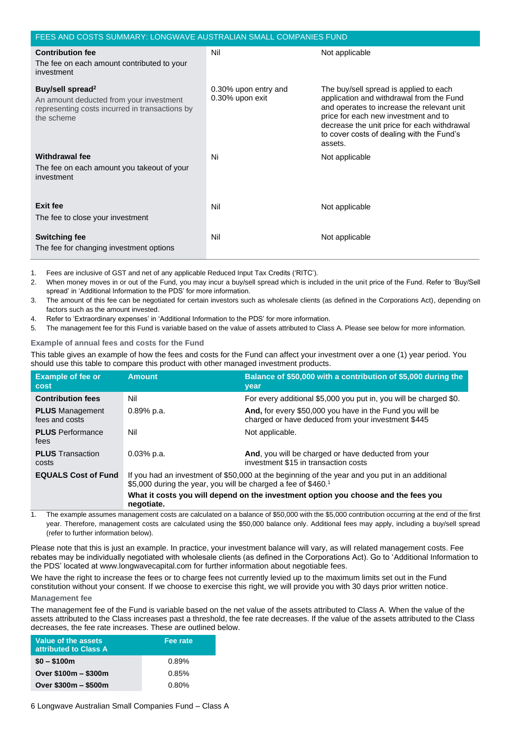| FEES AND COSTS SUMMARY: LONGWAVE AUSTRALIAN SMALL COMPANIES FUND                                                                        |                                         |                                                                                                                                                                                                                                                                                 |
|-----------------------------------------------------------------------------------------------------------------------------------------|-----------------------------------------|---------------------------------------------------------------------------------------------------------------------------------------------------------------------------------------------------------------------------------------------------------------------------------|
| <b>Contribution fee</b><br>The fee on each amount contributed to your<br>investment                                                     | Nil                                     | Not applicable                                                                                                                                                                                                                                                                  |
| Buy/sell spread <sup>2</sup><br>An amount deducted from your investment<br>representing costs incurred in transactions by<br>the scheme | 0.30% upon entry and<br>0.30% upon exit | The buy/sell spread is applied to each<br>application and withdrawal from the Fund<br>and operates to increase the relevant unit<br>price for each new investment and to<br>decrease the unit price for each withdrawal<br>to cover costs of dealing with the Fund's<br>assets. |
| Withdrawal fee<br>The fee on each amount you takeout of your<br>investment                                                              | Ni                                      | Not applicable                                                                                                                                                                                                                                                                  |
| <b>Exit fee</b><br>The fee to close your investment                                                                                     | Nil                                     | Not applicable                                                                                                                                                                                                                                                                  |
| <b>Switching fee</b><br>The fee for changing investment options                                                                         | Nil                                     | Not applicable                                                                                                                                                                                                                                                                  |

1. Fees are inclusive of GST and net of any applicable Reduced Input Tax Credits ('RITC').

- 2. When money moves in or out of the Fund, you may incur a buy/sell spread which is included in the unit price of the Fund. Refer to 'Buy/Sell spread' in 'Additional Information to the PDS' for more information.
- 3. The amount of this fee can be negotiated for certain investors such as wholesale clients (as defined in the Corporations Act), depending on factors such as the amount invested.
- 4. Refer to 'Extraordinary expenses' in 'Additional Information to the PDS' for more information.
- 5. The management fee for this Fund is variable based on the value of assets attributed to Class A. Please see below for more information.

#### **Example of annual fees and costs for the Fund**

This table gives an example of how the fees and costs for the Fund can affect your investment over a one (1) year period. You should use this table to compare this product with other managed investment products.

| <b>Example of fee or</b><br>cost         | <b>Amount</b>                                                                                                                                                               | Balance of \$50,000 with a contribution of \$5,000 during the<br><b>vear</b>                                   |
|------------------------------------------|-----------------------------------------------------------------------------------------------------------------------------------------------------------------------------|----------------------------------------------------------------------------------------------------------------|
| <b>Contribution fees</b>                 | Nil                                                                                                                                                                         | For every additional \$5,000 you put in, you will be charged \$0.                                              |
| <b>PLUS</b> Management<br>fees and costs | $0.89%$ p.a.                                                                                                                                                                | And, for every \$50,000 you have in the Fund you will be<br>charged or have deduced from your investment \$445 |
| <b>PLUS</b> Performance<br>fees          | Nil                                                                                                                                                                         | Not applicable.                                                                                                |
| <b>PLUS</b> Transaction<br>costs         | $0.03\%$ p.a.                                                                                                                                                               | And, you will be charged or have deducted from your<br>investment \$15 in transaction costs                    |
| <b>EQUALS Cost of Fund</b>               | If you had an investment of \$50,000 at the beginning of the year and you put in an additional<br>\$5,000 during the year, you will be charged a fee of \$460. <sup>1</sup> |                                                                                                                |
|                                          | What it costs you will depend on the investment option you choose and the fees you<br>negotiate.                                                                            |                                                                                                                |

1. The example assumes management costs are calculated on a balance of \$50,000 with the \$5,000 contribution occurring at the end of the first year. Therefore, management costs are calculated using the \$50,000 balance only. Additional fees may apply, including a buy/sell spread (refer to further information below).

Please note that this is just an example. In practice, your investment balance will vary, as will related management costs. Fee rebates may be individually negotiated with wholesale clients (as defined in the Corporations Act). Go to 'Additional Information to the PDS' located at www.longwavecapital.com for further information about negotiable fees.

We have the right to increase the fees or to charge fees not currently levied up to the maximum limits set out in the Fund constitution without your consent. If we choose to exercise this right, we will provide you with 30 days prior written notice.

#### **Management fee**

The management fee of the Fund is variable based on the net value of the assets attributed to Class A. When the value of the assets attributed to the Class increases past a threshold, the fee rate decreases. If the value of the assets attributed to the Class decreases, the fee rate increases. These are outlined below.

| Value of the assets<br>attributed to Class A | Fee rate |
|----------------------------------------------|----------|
| $$0 - $100m$                                 | $0.89\%$ |
| Over \$100m - \$300m                         | $0.85\%$ |
| Over \$300m - \$500m                         | 0.80%    |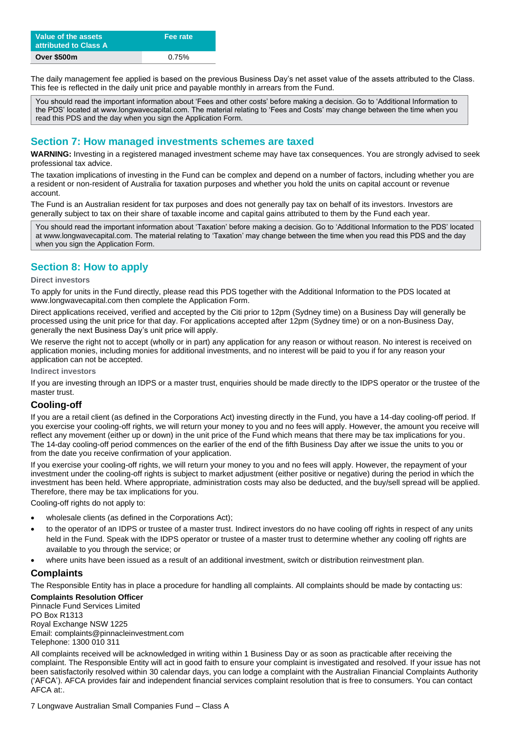| Value of the assets<br>attributed to Class A | Fee rate |
|----------------------------------------------|----------|
| <b>Over \$500m</b>                           | 0.75%    |

The daily management fee applied is based on the previous Business Day's net asset value of the assets attributed to the Class. This fee is reflected in the daily unit price and payable monthly in arrears from the Fund.

You should read the important information about 'Fees and other costs' before making a decision. Go to 'Additional Information to the PDS' located at www.longwavecapital.com. The material relating to 'Fees and Costs' may change between the time when you read this PDS and the day when you sign the Application Form.

# <span id="page-6-0"></span>**Section 7: How managed investments schemes are taxed**

**WARNING:** Investing in a registered managed investment scheme may have tax consequences. You are strongly advised to seek professional tax advice.

The taxation implications of investing in the Fund can be complex and depend on a number of factors, including whether you are a resident or non-resident of Australia for taxation purposes and whether you hold the units on capital account or revenue account.

The Fund is an Australian resident for tax purposes and does not generally pay tax on behalf of its investors. Investors are generally subject to tax on their share of taxable income and capital gains attributed to them by the Fund each year.

You should read the important information about 'Taxation' before making a decision. Go to 'Additional Information to the PDS' located at www.longwavecapital.com. The material relating to 'Taxation' may change between the time when you read this PDS and the day when you sign the Application Form.

# <span id="page-6-1"></span>**Section 8: How to apply**

#### **Direct investors**

To apply for units in the Fund directly, please read this PDS together with the Additional Information to the PDS located at www.longwavecapital.com then complete the Application Form.

Direct applications received, verified and accepted by the Citi prior to 12pm (Sydney time) on a Business Day will generally be processed using the unit price for that day. For applications accepted after 12pm (Sydney time) or on a non-Business Day, generally the next Business Day's unit price will apply.

We reserve the right not to accept (wholly or in part) any application for any reason or without reason. No interest is received on application monies, including monies for additional investments, and no interest will be paid to you if for any reason your application can not be accepted.

#### **Indirect investors**

If you are investing through an IDPS or a master trust, enquiries should be made directly to the IDPS operator or the trustee of the master trust.

## **Cooling-off**

If you are a retail client (as defined in the Corporations Act) investing directly in the Fund, you have a 14-day cooling-off period. If you exercise your cooling-off rights, we will return your money to you and no fees will apply. However, the amount you receive will reflect any movement (either up or down) in the unit price of the Fund which means that there may be tax implications for you. The 14-day cooling-off period commences on the earlier of the end of the fifth Business Day after we issue the units to you or from the date you receive confirmation of your application.

If you exercise your cooling-off rights, we will return your money to you and no fees will apply. However, the repayment of your investment under the cooling-off rights is subject to market adjustment (either positive or negative) during the period in which the investment has been held. Where appropriate, administration costs may also be deducted, and the buy/sell spread will be applied. Therefore, there may be tax implications for you.

Cooling-off rights do not apply to:

- wholesale clients (as defined in the Corporations Act);
- to the operator of an IDPS or trustee of a master trust. Indirect investors do no have cooling off rights in respect of any units held in the Fund. Speak with the IDPS operator or trustee of a master trust to determine whether any cooling off rights are available to you through the service; or
- where units have been issued as a result of an additional investment, switch or distribution reinvestment plan.

## **Complaints**

The Responsible Entity has in place a procedure for handling all complaints. All complaints should be made by contacting us:

**Complaints Resolution Officer** Pinnacle Fund Services Limited

PO Box R1313 Royal Exchange NSW 1225 Email: complaints@pinnacleinvestment.com Telephone: 1300 010 311

All complaints received will be acknowledged in writing within 1 Business Day or as soon as practicable after receiving the complaint. The Responsible Entity will act in good faith to ensure your complaint is investigated and resolved. If your issue has not been satisfactorily resolved within 30 calendar days, you can lodge a complaint with the Australian Financial Complaints Authority ('AFCA'). AFCA provides fair and independent financial services complaint resolution that is free to consumers. You can contact AFCA at:.